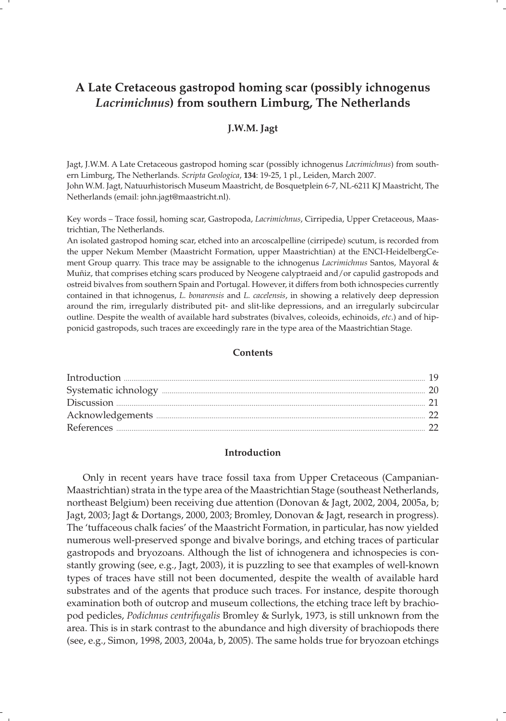# **A Late Cretaceous gastropod homing scar (possibly ichnogenus**  *Lacrimichnus***) from southern Limburg, The Netherlands**

# **J.W.M. Jagt**

Jagt, J.W.M. A Late Cretaceous gastropod homing scar (possibly ichnogenus *Lacrimichnus*) from southern Limburg, The Netherlands. *Scripta Geologica*, **134**: 19-25, 1 pl., Leiden, March 2007. John W.M. Jagt, Natuurhistorisch Museum Maastricht, de Bosquetplein 6-7, NL-6211 KJ Maastricht, The Netherlands (email: john.jagt@maastricht.nl).

Key words – Trace fossil, homing scar, Gastropoda, *Lacrimichnus*, Cirripedia, Upper Cretaceous, Maastrichtian, The Netherlands.

An isolated gastropod homing scar, etched into an arcoscalpelline (cirripede) scutum, is recorded from the upper Nekum Member (Maastricht Formation, upper Maastrichtian) at the ENCI-HeidelbergCement Group quarry. This trace may be assignable to the ichnogenus *Lacrimichnus* Santos, Mayoral & Muñiz, that comprises etching scars produced by Neogene calyptraeid and/or capulid gastropods and ostreid bivalves from southern Spain and Portugal. However, it differs from both ichnospecies currently contained in that ichnogenus, *L. bonarensis* and *L. cacelensis*, in showing a relatively deep depression around the rim, irregularly distributed pit- and slit-like depressions, and an irregularly subcircular outline. Despite the wealth of available hard substrates (bivalves, coleoids, echinoids, *etc*.) and of hipponicid gastropods, such traces are exceedingly rare in the type area of the Maastrichtian Stage.

#### **Contents**

## **Introduction**

 Only in recent years have trace fossil taxa from Upper Cretaceous (Campanian-Maastrichtian) strata in the type area of the Maastrichtian Stage (southeast Netherlands, northeast Belgium) been receiving due attention (Donovan & Jagt, 2002, 2004, 2005a, b; Jagt, 2003; Jagt & Dortangs, 2000, 2003; Bromley, Donovan & Jagt, research in progress). The 'tuffaceous chalk facies' of the Maastricht Formation, in particular, has now yielded numerous well-preserved sponge and bivalve borings, and etching traces of particular gastropods and bryozoans. Although the list of ichnogenera and ichnospecies is constantly growing (see, e.g., Jagt, 2003), it is puzzling to see that examples of well-known types of traces have still not been documented, despite the wealth of available hard substrates and of the agents that produce such traces. For instance, despite thorough examination both of outcrop and museum collections, the etching trace left by brachiopod pedicles, *Podichnus centrifugalis* Bromley & Surlyk, 1973, is still unknown from the area. This is in stark contrast to the abundance and high diversity of brachiopods there (see, e.g., Simon, 1998, 2003, 2004a, b, 2005). The same holds true for bryozoan etchings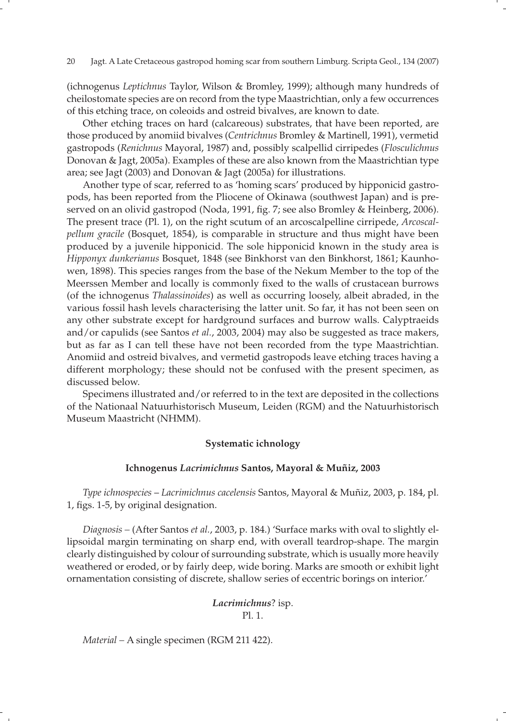(ichnogenus *Leptichnus* Taylor, Wilson & Bromley, 1999); although many hundreds of cheilostomate species are on record from the type Maastrichtian, only a few occurrences of this etching trace, on coleoids and ostreid bivalves, are known to date.

 Other etching traces on hard (calcareous) substrates, that have been reported, are those produced by anomiid bivalves (*Centrichnus* Bromley & Martinell, 1991), vermetid gastropods (*Renichnus* Mayoral, 1987) and, possibly scalpellid cirripedes (*Flosculichnus*  Donovan & Jagt, 2005a). Examples of these are also known from the Maastrichtian type area; see Jagt (2003) and Donovan & Jagt (2005a) for illustrations.

 Another type of scar, referred to as 'homing scars' produced by hipponicid gastropods, has been reported from the Pliocene of Okinawa (southwest Japan) and is preserved on an olivid gastropod (Noda, 1991, fig. 7; see also Bromley & Heinberg, 2006). The present trace (Pl. 1), on the right scutum of an arcoscalpelline cirripede, *Arcoscalpellum gracile* (Bosquet, 1854), is comparable in structure and thus might have been produced by a juvenile hipponicid. The sole hipponicid known in the study area is *Hipponyx dunkerianus* Bosquet, 1848 (see Binkhorst van den Binkhorst, 1861; Kaunhowen, 1898). This species ranges from the base of the Nekum Member to the top of the Meerssen Member and locally is commonly fixed to the walls of crustacean burrows (of the ichnogenus *Thalassinoides*) as well as occurring loosely, albeit abraded, in the various fossil hash levels characterising the latter unit. So far, it has not been seen on any other substrate except for hardground surfaces and burrow walls. Calyptraeids and/or capulids (see Santos *et al.*, 2003, 2004) may also be suggested as trace makers, but as far as I can tell these have not been recorded from the type Maastrichtian. Anomiid and ostreid bivalves, and vermetid gastropods leave etching traces having a different morphology; these should not be confused with the present specimen, as discussed below.

 Specimens illustrated and/or referred to in the text are deposited in the collections of the Nationaal Natuurhistorisch Museum, Leiden (RGM) and the Natuurhistorisch Museum Maastricht (NHMM).

# **Systematic ichnology**

## **Ichnogenus** *Lacrimichnus* **Santos, Mayoral & Muñiz, 2003**

 *Type ichnospecies* – *Lacrimichnus cacelensis* Santos, Mayoral & Muñiz, 2003, p. 184, pl. 1, figs. 1-5, by original designation.

 *Diagnosis –* (After Santos *et al.*, 2003, p. 184.) 'Surface marks with oval to slightly ellipsoidal margin terminating on sharp end, with overall teardrop-shape. The margin clearly distinguished by colour of surrounding substrate, which is usually more heavily weathered or eroded, or by fairly deep, wide boring. Marks are smooth or exhibit light ornamentation consisting of discrete, shallow series of eccentric borings on interior.'

# *Lacrimichnus*? isp. Pl. 1.

*Material –* A single specimen (RGM 211 422).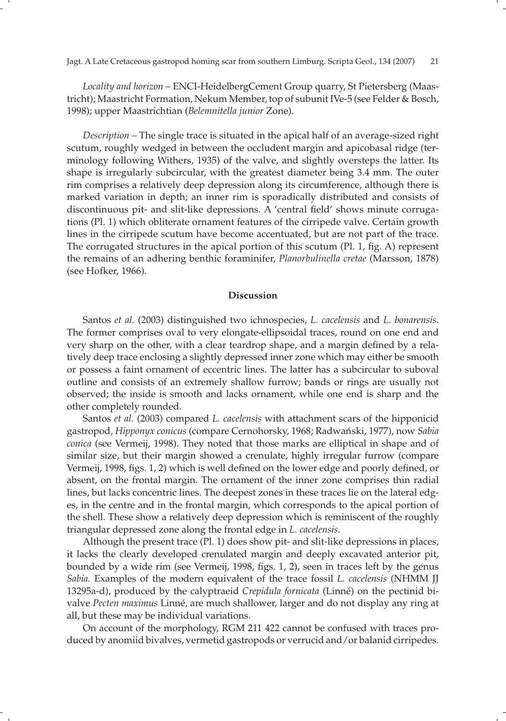*Locality and horizon –* ENCI-HeidelbergCement Group quarry, St Pietersberg (Maastricht); Maastricht Formation, Nekum Member, top of subunit IVe-5 (see Felder & Bosch, 1998); upper Maastrichtian (*Belemnitella junior* Zone).

*Description –* The single trace is situated in the apical half of an average-sized right scutum, roughly wedged in between the occludent margin and apicobasal ridge (terminology following Withers, 1935) of the valve, and slightly oversteps the latter. Its shape is irregularly subcircular, with the greatest diameter being 3.4 mm. The outer rim comprises a relatively deep depression along its circumference, although there is marked variation in depth; an inner rim is sporadically distributed and consists of discontinuous pit- and slit-like depressions. A 'central field' shows minute corrugations (Pl. 1) which obliterate ornament features of the cirripede valve. Certain growth lines in the cirripede scutum have become accentuated, but are not part of the trace. The corrugated structures in the apical portion of this scutum  $(Pl. 1, fig. A)$  represent the remains of an adhering benthic foraminifer, *Planorbulinella cretae* (Marsson, 1878) (see Hofker, 1966).

## **Discussion**

 Santos *et al.* (2003) distinguished two ichnospecies, *L. cacelensis* and *L. bonarensis*. The former comprises oval to very elongate-ellipsoidal traces, round on one end and very sharp on the other, with a clear teardrop shape, and a margin defined by a relatively deep trace enclosing a slightly depressed inner zone which may either be smooth or possess a faint ornament of eccentric lines. The latter has a subcircular to suboval outline and consists of an extremely shallow furrow; bands or rings are usually not observed; the inside is smooth and lacks ornament, while one end is sharp and the other completely rounded.

 Santos *et al.* (2003) compared *L. cacelensis* with attachment scars of the hipponicid gastropod, *Hipponyx conicus* (compare Cernohorsky, 1968; Radwański, 1977), now *Sabia conica* (see Vermeij, 1998). They noted that those marks are elliptical in shape and of similar size, but their margin showed a crenulate, highly irregular furrow (compare Vermeij, 1998, figs. 1, 2) which is well defined on the lower edge and poorly defined, or absent, on the frontal margin. The ornament of the inner zone comprises thin radial lines, but lacks concentric lines. The deepest zones in these traces lie on the lateral edges, in the centre and in the frontal margin, which corresponds to the apical portion of the shell. These show a relatively deep depression which is reminiscent of the roughly triangular depressed zone along the frontal edge in *L. cacelensis*.

 Although the present trace (Pl. 1) does show pit- and slit-like depressions in places, it lacks the clearly developed crenulated margin and deeply excavated anterior pit, bounded by a wide rim (see Vermeij, 1998, figs. 1, 2), seen in traces left by the genus *Sabia.* Examples of the modern equivalent of the trace fossil *L. cacelensis* (NHMM JJ 13295a-d), produced by the calyptraeid *Crepidula fornicata* (Linné) on the pectinid bivalve *Pecten maximus* Linné, are much shallower, larger and do not display any ring at all, but these may be individual variations.

 On account of the morphology, RGM 211 422 cannot be confused with traces produced by anomiid bivalves, vermetid gastropods or verrucid and/or balanid cirripedes.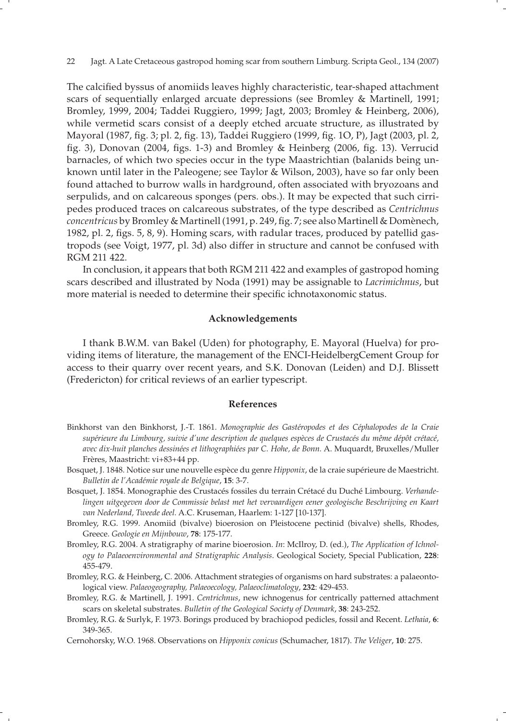The calcified byssus of anomiids leaves highly characteristic, tear-shaped attachment scars of sequentially enlarged arcuate depressions (see Bromley & Martinell, 1991; Bromley, 1999, 2004; Taddei Ruggiero, 1999; Jagt, 2003; Bromley & Heinberg, 2006), while vermetid scars consist of a deeply etched arcuate structure, as illustrated by Mayoral (1987, fig. 3; pl. 2, fig. 13), Taddei Ruggiero (1999, fig. 1O, P), Jagt (2003, pl. 2, fig. 3), Donovan (2004, figs. 1-3) and Bromley & Heinberg (2006, fig. 13). Verrucid barnacles, of which two species occur in the type Maastrichtian (balanids being unknown until later in the Paleogene; see Taylor & Wilson, 2003), have so far only been found attached to burrow walls in hardground, often associated with bryozoans and serpulids, and on calcareous sponges (pers. obs.). It may be expected that such cirripedes produced traces on calcareous substrates, of the type described as *Centrichnus concentricus* by Bromley & Martinell (1991, p. 249, fig. 7; see also Martinell & Domènech, 1982, pl. 2, figs. 5, 8, 9). Homing scars, with radular traces, produced by patellid gastropods (see Voigt, 1977, pl. 3d) also differ in structure and cannot be confused with RGM 211 422.

 In conclusion, it appears that both RGM 211 422 and examples of gastropod homing scars described and illustrated by Noda (1991) may be assignable to *Lacrimichnus*, but more material is needed to determine their specific ichnotaxonomic status.

#### **Acknowledgements**

 I thank B.W.M. van Bakel (Uden) for photography, E. Mayoral (Huelva) for providing items of literature, the management of the ENCI-HeidelbergCement Group for access to their quarry over recent years, and S.K. Donovan (Leiden) and D.J. Blissett (Fredericton) for critical reviews of an earlier typescript.

## **References**

- Binkhorst van den Binkhorst, J.-T. 1861. *Monographie des Gastéropodes et des Céphalopodes de la Craie supérieure du Limbourg, suivie d'une description de quelques espèces de Crustacés du même dépôt crétacé, avec dix-huit planches dessinées et lithographiées par C. Hohe, de Bonn.* A. Muquardt, Bruxelles/Muller Frères, Maastricht: vi+83+44 pp.
- Bosquet, J. 1848. Notice sur une nouvelle espèce du genre *Hipponix*, de la craie supérieure de Maestricht. *Bulletin de l'Académie royale de Belgique*, **15**: 3-7.
- Bosquet, J. 1854. Monographie des Crustacés fossiles du terrain Crétacé du Duché Limbourg. *Verhandelingen uitgegeven door de Commissie belast met het vervaardigen eener geologische Beschrijving en Kaart van Nederland, Tweede deel.* A.C. Kruseman, Haarlem: 1-127 [10-137].
- Bromley, R.G. 1999. Anomiid (bivalve) bioerosion on Pleistocene pectinid (bivalve) shells, Rhodes, Greece. *Geologie en Mijnbouw*, **78**: 175-177.
- Bromley, R.G. 2004. A stratigraphy of marine bioerosion. *In*: McIlroy, D. (ed.), *The Application of Ichnology to Palaeoenvironmental and Stratigraphic Analysis*. Geological Society, Special Publication, **228**: 455-479.
- Bromley, R.G. & Heinberg, C. 2006. Attachment strategies of organisms on hard substrates: a palaeontological view. *Palaeogeography, Palaeoecology, Palaeoclimatology*, **232**: 429-453.
- Bromley, R.G. & Martinell, J. 1991. *Centrichnus*, new ichnogenus for centrically patterned attachment scars on skeletal substrates. *Bulletin of the Geological Society of Denmark*, **38**: 243-252.
- Bromley, R.G. & Surlyk, F. 1973. Borings produced by brachiopod pedicles, fossil and Recent. *Lethaia*, **6**: 349-365.
- Cernohorsky, W.O. 1968. Observations on *Hipponix conicus* (Schumacher, 1817). *The Veliger*, **10**: 275.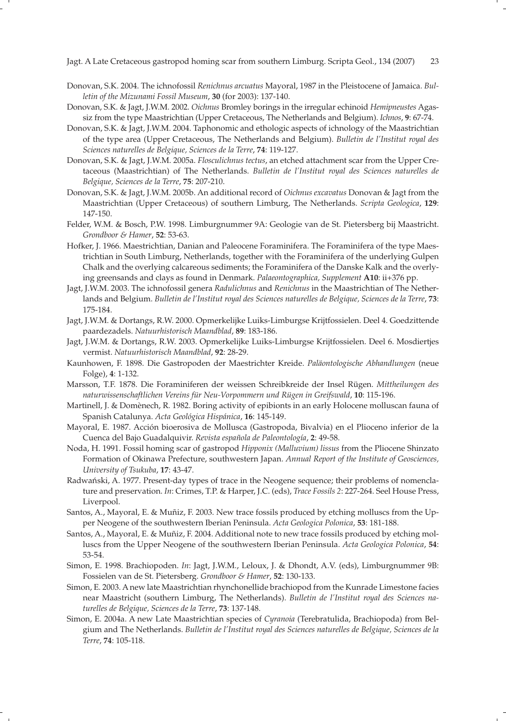- Donovan, S.K. 2004. The ichnofossil *Renichnus arcuatus* Mayoral, 1987 in the Pleistocene of Jamaica. *Bulletin of the Mizunami Fossil Museum*, **30** (for 2003): 137-140.
- Donovan, S.K. & Jagt, J.W.M. 2002. *Oichnus* Bromley borings in the irregular echinoid *Hemipneustes* Agassiz from the type Maastrichtian (Upper Cretaceous, The Netherlands and Belgium). *Ichnos*, **9**: 67-74.
- Donovan, S.K. & Jagt, J.W.M. 2004. Taphonomic and ethologic aspects of ichnology of the Maastrichtian of the type area (Upper Cretaceous, The Netherlands and Belgium). *Bulletin de l'Institut royal des Sciences naturelles de Belgique, Sciences de la Terre*, **74**: 119-127.
- Donovan, S.K. & Jagt, J.W.M. 2005a. *Flosculichnus tectus*, an etched attachment scar from the Upper Cretaceous (Maastrichtian) of The Netherlands. *Bulletin de l'Institut royal des Sciences naturelles de Belgique, Sciences de la Terre*, **75**: 207-210.
- Donovan, S.K. & Jagt, J.W.M. 2005b. An additional record of *Oichnus excavatus* Donovan & Jagt from the Maastrichtian (Upper Cretaceous) of southern Limburg, The Netherlands. *Scripta Geologica*, **129**: 147-150.
- Felder, W.M. & Bosch, P.W. 1998. Limburgnummer 9A: Geologie van de St. Pietersberg bij Maastricht. *Grondboor & Hamer*, **52**: 53-63.
- Hofker, J. 1966. Maestrichtian, Danian and Paleocene Foraminifera. The Foraminifera of the type Maestrichtian in South Limburg, Netherlands, together with the Foraminifera of the underlying Gulpen Chalk and the overlying calcareous sediments; the Foraminifera of the Danske Kalk and the overlying greensands and clays as found in Denmark. *Palaeontographica, Supplement* **A10**: ii+376 pp.
- Jagt, J.W.M. 2003. The ichnofossil genera *Radulichnus* and *Renichnus* in the Maastrichtian of The Netherlands and Belgium. *Bulletin de l'Institut royal des Sciences naturelles de Belgique, Sciences de la Terre*, **73**: 175-184.
- Jagt, J.W.M. & Dortangs, R.W. 2000. Opmerkelijke Luiks-Limburgse Krijtfossielen. Deel 4. Goedzittende paardezadels. *Natuurhistorisch Maandblad*, **89**: 183-186.
- Jagt, J.W.M. & Dortangs, R.W. 2003. Opmerkelijke Luiks-Limburgse Krijtfossielen. Deel 6. Mosdiertjes vermist. *Natuurhistorisch Maandblad*, **92**: 28-29.
- Kaunhowen, F. 1898. Die Gastropoden der Maestrichter Kreide. *Paläontologische Abhandlungen* (neue Folge), **4**: 1-132.
- Marsson, T.F. 1878. Die Foraminiferen der weissen Schreibkreide der Insel Rügen. *Mittheilungen des naturwissenschaftlichen Vereins für Neu-Vorpommern und Rügen in Greifswald*, **10**: 115-196.
- Martinell, J. & Domènech, R. 1982. Boring activity of epibionts in an early Holocene molluscan fauna of Spanish Catalunya. *Acta Geológica Hispánica*, **16**: 145-149.
- Mayoral, E. 1987. Acción bioerosiva de Mollusca (Gastropoda, Bivalvia) en el Plioceno inferior de la Cuenca del Bajo Guadalquivir. *Revista española de Paleontología*, **2**: 49-58.
- Noda, H. 1991. Fossil homing scar of gastropod *Hipponix (Malluvium) lissus* from the Pliocene Shinzato Formation of Okinawa Prefecture, southwestern Japan. *Annual Report of the Institute of Geosciences, University of Tsukuba*, **17**: 43-47.
- Radwański, A. 1977. Present-day types of trace in the Neogene sequence; their problems of nomenclature and preservation. *In*: Crimes, T.P. & Harper, J.C. (eds), *Trace Fossils 2*: 227-264. Seel House Press, Liverpool.
- Santos, A., Mayoral, E. & Muñiz, F. 2003. New trace fossils produced by etching molluscs from the Upper Neogene of the southwestern Iberian Peninsula. *Acta Geologica Polonica*, **53**: 181-188.
- Santos, A., Mayoral, E. & Muñiz, F. 2004. Additional note to new trace fossils produced by etching molluscs from the Upper Neogene of the southwestern Iberian Peninsula. *Acta Geologica Polonica*, **54**: 53-54.
- Simon, E. 1998. Brachiopoden. *In*: Jagt, J.W.M., Leloux, J. & Dhondt, A.V. (eds), Limburgnummer 9B: Fossielen van de St. Pietersberg. *Grondboor & Hamer*, **52**: 130-133.
- Simon, E. 2003. A new late Maastrichtian rhynchonellide brachiopod from the Kunrade Limestone facies near Maastricht (southern Limburg, The Netherlands). *Bulletin de l'Institut royal des Sciences naturelles de Belgique, Sciences de la Terre*, **73**: 137-148.
- Simon, E. 2004a. A new Late Maastrichtian species of *Cyranoia* (Terebratulida, Brachiopoda) from Belgium and The Netherlands. *Bulletin de l'Institut royal des Sciences naturelles de Belgique, Sciences de la Terre*, **74**: 105-118.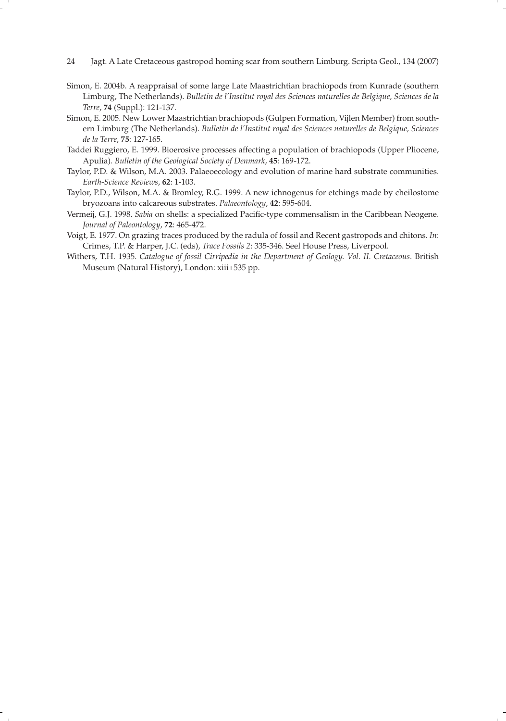- 24 Jagt. A Late Cretaceous gastropod homing scar from southern Limburg. Scripta Geol., 134 (2007)
- Simon, E. 2004b. A reappraisal of some large Late Maastrichtian brachiopods from Kunrade (southern Limburg, The Netherlands). *Bulletin de l'Institut royal des Sciences naturelles de Belgique, Sciences de la Terre*, **74** (Suppl.): 121-137.
- Simon, E. 2005. New Lower Maastrichtian brachiopods (Gulpen Formation, Vijlen Member) from southern Limburg (The Netherlands). *Bulletin de l'Institut royal des Sciences naturelles de Belgique, Sciences de la Terre*, **75**: 127-165.
- Taddei Ruggiero, E. 1999. Bioerosive processes affecting a population of brachiopods (Upper Pliocene, Apulia). *Bulletin of the Geological Society of Denmark*, **45**: 169-172.
- Taylor, P.D. & Wilson, M.A. 2003. Palaeoecology and evolution of marine hard substrate communities. *Earth-Science Reviews*, **62**: 1-103.
- Taylor, P.D., Wilson, M.A. & Bromley, R.G. 1999. A new ichnogenus for etchings made by cheilostome bryozoans into calcareous substrates. *Palaeontology*, **42**: 595-604.
- Vermeij, G.J. 1998. *Sabia* on shells: a specialized Pacific-type commensalism in the Caribbean Neogene. *Journal of Paleontology*, **72**: 465-472.
- Voigt, E. 1977. On grazing traces produced by the radula of fossil and Recent gastropods and chitons. *In*: Crimes, T.P. & Harper, J.C. (eds), *Trace Fossils 2*: 335-346. Seel House Press, Liverpool.
- Withers, T.H. 1935. *Catalogue of fossil Cirripedia in the Department of Geology. Vol. II. Cretaceous*. British Museum (Natural History), London: xiii+535 pp.